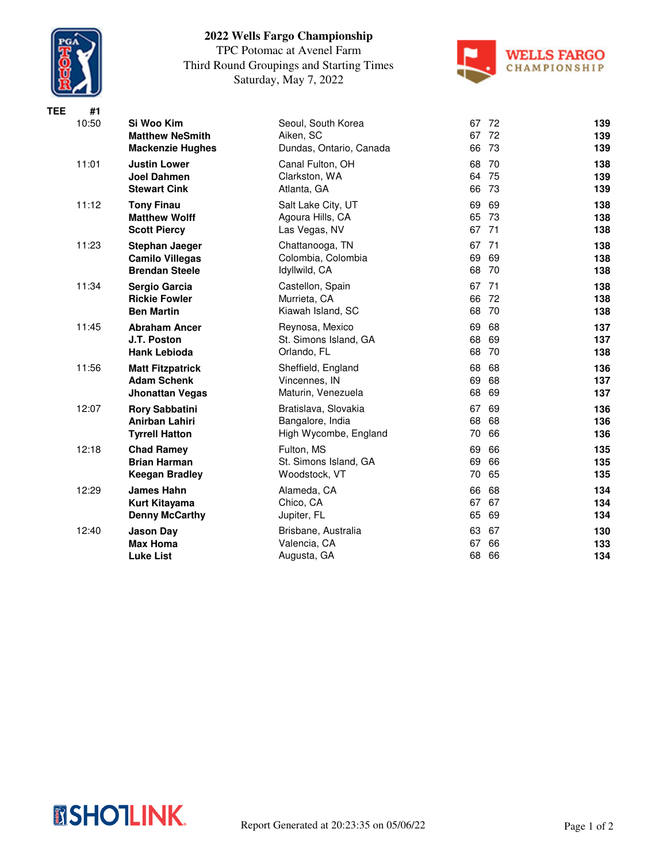

## **2022 Wells Fargo Championship**

TPC Potomac at Avenel Farm Third Round Groupings and Starting Times Saturday, May 7, 2022



| <b>TEE</b> | #1    |                                                                          |                                                                   |                                    |                   |
|------------|-------|--------------------------------------------------------------------------|-------------------------------------------------------------------|------------------------------------|-------------------|
|            | 10:50 | Si Woo Kim<br><b>Matthew NeSmith</b>                                     | Seoul, South Korea<br>Aiken, SC                                   | 67<br>72<br>72<br>67               | 139<br>139        |
|            |       | <b>Mackenzie Hughes</b>                                                  | Dundas, Ontario, Canada                                           | 66<br>73                           | 139               |
|            | 11:01 | <b>Justin Lower</b><br><b>Joel Dahmen</b><br><b>Stewart Cink</b>         | Canal Fulton, OH<br>Clarkston, WA<br>Atlanta, GA                  | 68<br>70<br>64 75<br>66 73         | 138<br>139<br>139 |
|            | 11:12 | <b>Tony Finau</b><br><b>Matthew Wolff</b><br><b>Scott Piercy</b>         | Salt Lake City, UT<br>Agoura Hills, CA<br>Las Vegas, NV           | 69<br>69<br>65 73<br>67 71         | 138<br>138<br>138 |
|            | 11:23 | <b>Stephan Jaeger</b><br><b>Camilo Villegas</b><br><b>Brendan Steele</b> | Chattanooga, TN<br>Colombia, Colombia<br>Idyllwild, CA            | 67<br>71<br>69<br>69<br>68<br>- 70 | 138<br>138<br>138 |
|            | 11:34 | Sergio Garcia<br><b>Rickie Fowler</b><br><b>Ben Martin</b>               | Castellon, Spain<br>Murrieta, CA<br>Kiawah Island, SC             | 67 71<br>66<br>- 72<br>68<br>70    | 138<br>138<br>138 |
|            | 11:45 | <b>Abraham Ancer</b><br>J.T. Poston<br><b>Hank Lebioda</b>               | Reynosa, Mexico<br>St. Simons Island, GA<br>Orlando, FL           | 69<br>68<br>68<br>69<br>68<br>70   | 137<br>137<br>138 |
|            | 11:56 | <b>Matt Fitzpatrick</b><br><b>Adam Schenk</b><br><b>Jhonattan Vegas</b>  | Sheffield, England<br>Vincennes, IN<br>Maturin, Venezuela         | 68<br>68<br>69<br>68<br>68<br>69   | 136<br>137<br>137 |
|            | 12:07 | <b>Rory Sabbatini</b><br>Anirban Lahiri<br><b>Tyrrell Hatton</b>         | Bratislava, Slovakia<br>Bangalore, India<br>High Wycombe, England | 67<br>69<br>68<br>68<br>66<br>70   | 136<br>136<br>136 |
|            | 12:18 | <b>Chad Ramey</b><br><b>Brian Harman</b><br><b>Keegan Bradley</b>        | Fulton, MS<br>St. Simons Island, GA<br>Woodstock, VT              | 69<br>66<br>69<br>66<br>65<br>70   | 135<br>135<br>135 |
|            | 12:29 | James Hahn<br>Kurt Kitayama<br><b>Denny McCarthy</b>                     | Alameda, CA<br>Chico, CA<br>Jupiter, FL                           | 66<br>68<br>67<br>67<br>65<br>69   | 134<br>134<br>134 |
|            | 12:40 | <b>Jason Day</b><br><b>Max Homa</b><br><b>Luke List</b>                  | Brisbane, Australia<br>Valencia, CA<br>Augusta, GA                | 63<br>67<br>67<br>66<br>68<br>66   | 130<br>133<br>134 |